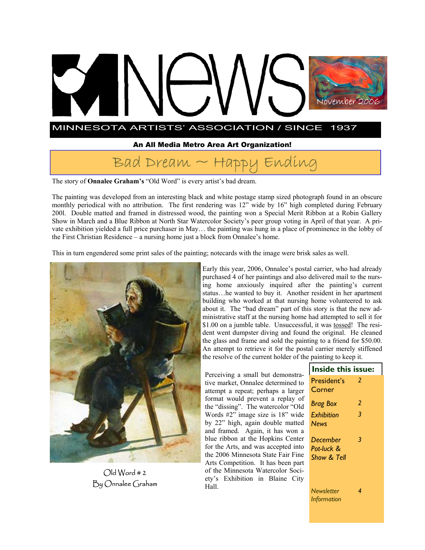# MINNESOTA ARTISTS' ASSOCIATION / SINCE 1937 November 2006 November 2006

## An All Media Metro Area Art Organization!

## $Bad$  Dream  $\sim$  Happy Ending

The story of **Onnalee Graham's** "Old Word" is every artist's bad dream.

The painting was developed from an interesting black and white postage stamp sized photograph found in an obscure monthly periodical with no attribution. The first rendering was 12" wide by 16" high completed during February 200l. Double matted and framed in distressed wood, the painting won a Special Merit Ribbon at a Robin Gallery Show in March and a Blue Ribbon at North Star Watercolor Society's peer group voting in April of that year. A private exhibition yielded a full price purchaser in May… the painting was hung in a place of prominence in the lobby of the First Christian Residence – a nursing home just a block from Onnalee's home.

This in turn engendered some print sales of the painting; notecards with the image were brisk sales as well.



Old Word # 2 By Onnalee Graham

Early this year, 2006, Onnalee's postal carrier, who had already purchased 4 of her paintings and also delivered mail to the nursing home anxiously inquired after the painting's current status…he wanted to buy it. Another resident in her apartment building who worked at that nursing home volunteered to ask about it. The "bad dream" part of this story is that the new administrative staff at the nursing home had attempted to sell it for \$1.00 on a jumble table. Unsuccessful, it was tossed! The resident went dumpster diving and found the original. He cleaned the glass and frame and sold the painting to a friend for \$50.00. An attempt to retrieve it for the postal carrier merely stiffened the resolve of the current holder of the painting to keep it.

Perceiving a small but demonstrative market, Onnalee determined to attempt a repeat; perhaps a larger format would prevent a replay of the "dissing". The watercolor "Old Words #2" image size is 18" wide by 22" high, again double matted and framed. Again, it has won a blue ribbon at the Hopkins Center for the Arts, and was accepted into the 2006 Minnesota State Fair Fine Arts Competition. It has been part of the Minnesota Watercolor Society's Exhibition in Blaine City Hall.

| Inside this issue:                    |               |
|---------------------------------------|---------------|
| President's<br>Corner                 | 2             |
| <b>Brag Box</b>                       | $\mathcal{P}$ |
| Exhibition<br><b>News</b>             | 3             |
| December<br>Pot-luck &<br>Show & Tell | 3             |
|                                       |               |

*Newsletter Information 4*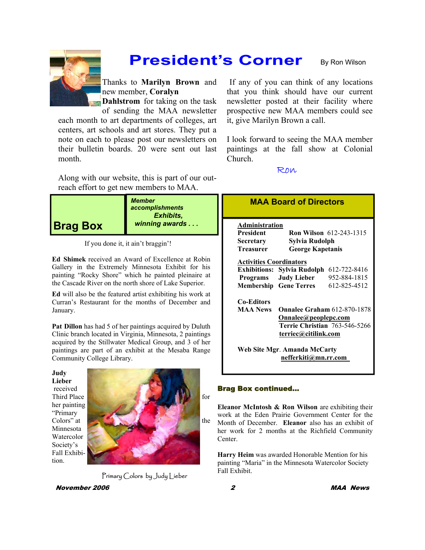

## **President's Corner**

By Ron Wilson

Thanks to **Marilyn Brown** and new member, **Coralyn** 

**Dahlstrom** for taking on the task of sending the MAA newsletter

each month to art departments of colleges, art centers, art schools and art stores. They put a note on each to please post our newsletters on their bulletin boards. 20 were sent out last month.

Along with our website, this is part of our outreach effort to get new members to MAA.



If you done it, it ain't braggin'!

**Ed Shimek** received an Award of Excellence at Robin Gallery in the Extremely Minnesota Exhibit for his painting "Rocky Shore" which he painted pleinaire at the Cascade River on the north shore of Lake Superior.

**Ed** will also be the featured artist exhibiting his work at Curran's Restaurant for the months of December and January.

**Pat Dillon** has had 5 of her paintings acquired by Duluth Clinic branch located in Virginia, Minnesota, 2 paintings acquired by the Stillwater Medical Group, and 3 of her paintings are part of an exhibit at the Mesaba Range Community College Library.



Primary Colors by Judy Lieber

November 2006 2 MAA News

If any of you can think of any locations that you think should have our current newsletter posted at their facility where prospective new MAA members could see it, give Marilyn Brown a call.

I look forward to seeing the MAA member paintings at the fall show at Colonial Church.

### Ron

| Administration                 |                                          |                                |
|--------------------------------|------------------------------------------|--------------------------------|
| <b>President</b>               |                                          | <b>Ron Wilson</b> 612-243-1315 |
| Secretary                      | Sylvia Rudolph                           |                                |
| <b>Treasurer</b>               | <b>George Kapetanis</b>                  |                                |
| <b>Activities Coordinators</b> |                                          |                                |
|                                | Exhibitions: Sylvia Rudolph 612-722-8416 |                                |
|                                | Programs Judy Lieber                     | 952-884-1815                   |
|                                | <b>Membership</b> Gene Terres            | 612-825-4512                   |
| <b>Co-Editors</b>              |                                          |                                |
| <b>MAA News</b>                | <b>Onnalee Graham 612-870-1878</b>       |                                |
|                                | Onnalee@peoplepc.com                     |                                |
|                                | Terrie Christian 763-546-5266            |                                |
|                                | terriec@citilink.com                     |                                |

## Brag Box continued…

**Eleanor McIntosh & Ron Wilson** are exhibiting their work at the Eden Prairie Government Center for the Month of December. **Eleanor** also has an exhibit of her work for 2 months at the Richfield Community Center.

**Harry Heim** was awarded Honorable Mention for his painting "Maria" in the Minnesota Watercolor Society Fall Exhibit.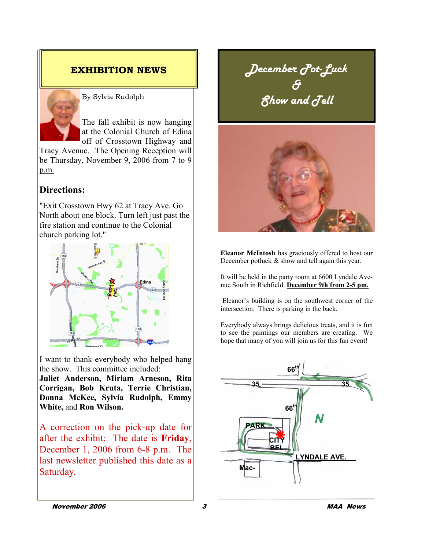

By Sylvia Rudolph

The fall exhibit is now hanging at the Colonial Church of Edina off of Crosstown Highway and

Tracy Avenue. The Opening Reception will be Thursday, November 9, 2006 from 7 to 9 p.m.

## **Directions:**

"Exit Crosstown Hwy 62 at Tracy Ave. Go North about one block. Turn left just past the fire station and continue to the Colonial church parking lot."



I want to thank everybody who helped hang the show. This committee included:

**Juliet Anderson, Miriam Arneson, Rita Corrigan, Bob Kruta, Terrie Christian, Donna McKee, Sylvia Rudolph, Emmy White,** and **Ron Wilson.** 

A correction on the pick-up date for after the exhibit: The date is **Friday**, December 1, 2006 from 6-8 p.m. The last newsletter published this date as a Saturday.

**EXHIBITION NEWS** *December Pot-Luck & Show and Tell* 



**Eleanor McIntosh** has graciously offered to host our December potluck & show and tell again this year.

It will be held in the party room at 6600 Lyndale Avenue South in Richfield. **December 9th from 2-5 pm.**

 Eleanor's building is on the southwest corner of the intersection. There is parking in the back.

Everybody always brings delicious treats, and it is fun to see the paintings our members are creating. We hope that many of you will join us for this fun event!